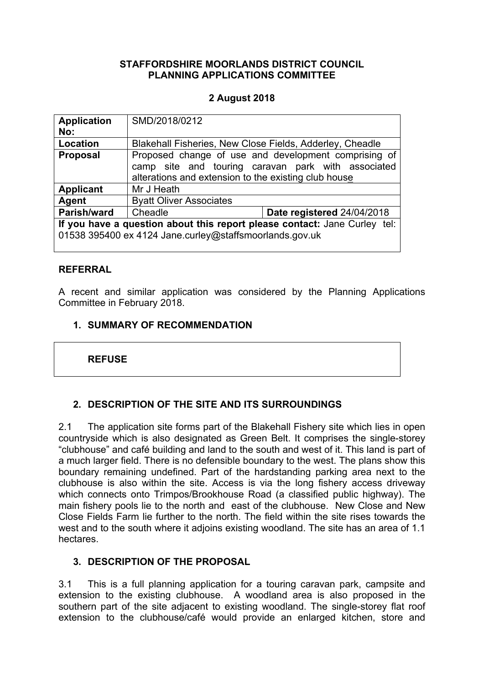## **STAFFORDSHIRE MOORLANDS DISTRICT COUNCIL PLANNING APPLICATIONS COMMITTEE**

## **2 August 2018**

| <b>Application</b><br>No:                                                                                                            | SMD/2018/0212                                                                                                                                                      |                            |  |
|--------------------------------------------------------------------------------------------------------------------------------------|--------------------------------------------------------------------------------------------------------------------------------------------------------------------|----------------------------|--|
| <b>Location</b>                                                                                                                      | Blakehall Fisheries, New Close Fields, Adderley, Cheadle                                                                                                           |                            |  |
| <b>Proposal</b>                                                                                                                      | Proposed change of use and development comprising of<br>camp site and touring caravan park with associated<br>alterations and extension to the existing club house |                            |  |
| <b>Applicant</b>                                                                                                                     | Mr J Heath                                                                                                                                                         |                            |  |
| Agent                                                                                                                                | <b>Byatt Oliver Associates</b>                                                                                                                                     |                            |  |
| Parish/ward                                                                                                                          | Cheadle                                                                                                                                                            | Date registered 24/04/2018 |  |
| If you have a question about this report please contact: Jane Curley tel:<br>01538 395400 ex 4124 Jane.curley@staffsmoorlands.gov.uk |                                                                                                                                                                    |                            |  |

## **REFERRAL**

A recent and similar application was considered by the Planning Applications Committee in February 2018.

## **1. SUMMARY OF RECOMMENDATION**

## **REFUSE**

# **2. DESCRIPTION OF THE SITE AND ITS SURROUNDINGS**

2.1 The application site forms part of the Blakehall Fishery site which lies in open countryside which is also designated as Green Belt. It comprises the single-storey "clubhouse" and café building and land to the south and west of it. This land is part of a much larger field. There is no defensible boundary to the west. The plans show this boundary remaining undefined. Part of the hardstanding parking area next to the clubhouse is also within the site. Access is via the long fishery access driveway which connects onto Trimpos/Brookhouse Road (a classified public highway). The main fishery pools lie to the north and east of the clubhouse. New Close and New Close Fields Farm lie further to the north. The field within the site rises towards the west and to the south where it adjoins existing woodland. The site has an area of 1.1 hectares.

## **3. DESCRIPTION OF THE PROPOSAL**

3.1 This is a full planning application for a touring caravan park, campsite and extension to the existing clubhouse. A woodland area is also proposed in the southern part of the site adjacent to existing woodland. The single-storey flat roof extension to the clubhouse/café would provide an enlarged kitchen, store and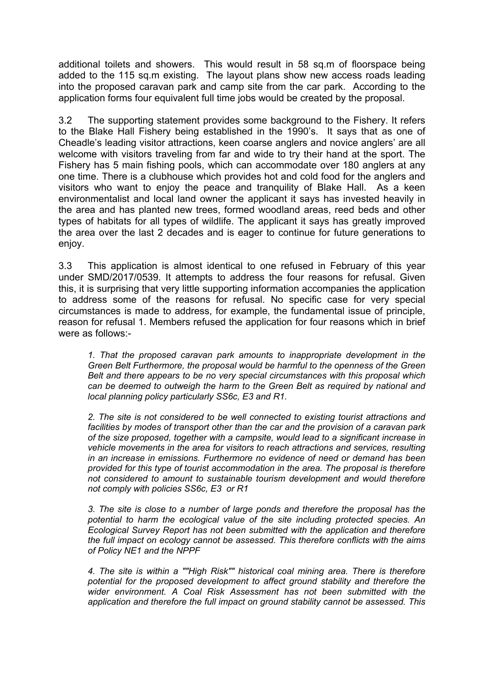additional toilets and showers. This would result in 58 sq.m of floorspace being added to the 115 sq.m existing. The layout plans show new access roads leading into the proposed caravan park and camp site from the car park. According to the application forms four equivalent full time jobs would be created by the proposal.

3.2 The supporting statement provides some background to the Fishery. It refers to the Blake Hall Fishery being established in the 1990's. It says that as one of Cheadle's leading visitor attractions, keen coarse anglers and novice anglers' are all welcome with visitors traveling from far and wide to try their hand at the sport. The Fishery has 5 main fishing pools, which can accommodate over 180 anglers at any one time. There is a clubhouse which provides hot and cold food for the anglers and visitors who want to enjoy the peace and tranquility of Blake Hall. As a keen environmentalist and local land owner the applicant it says has invested heavily in the area and has planted new trees, formed woodland areas, reed beds and other types of habitats for all types of wildlife. The applicant it says has greatly improved the area over the last 2 decades and is eager to continue for future generations to enjoy.

3.3 This application is almost identical to one refused in February of this year under SMD/2017/0539. It attempts to address the four reasons for refusal. Given this, it is surprising that very little supporting information accompanies the application to address some of the reasons for refusal. No specific case for very special circumstances is made to address, for example, the fundamental issue of principle, reason for refusal 1. Members refused the application for four reasons which in brief were as follows:-

*1. That the proposed caravan park amounts to inappropriate development in the Green Belt Furthermore, the proposal would be harmful to the openness of the Green Belt and there appears to be no very special circumstances with this proposal which can be deemed to outweigh the harm to the Green Belt as required by national and local planning policy particularly SS6c, E3 and R1.*

*2. The site is not considered to be well connected to existing tourist attractions and facilities by modes of transport other than the car and the provision of a caravan park of the size proposed, together with a campsite, would lead to a significant increase in vehicle movements in the area for visitors to reach attractions and services, resulting in an increase in emissions. Furthermore no evidence of need or demand has been provided for this type of tourist accommodation in the area. The proposal is therefore not considered to amount to sustainable tourism development and would therefore not comply with policies SS6c, E3 or R1*

*3. The site is close to a number of large ponds and therefore the proposal has the potential to harm the ecological value of the site including protected species. An Ecological Survey Report has not been submitted with the application and therefore the full impact on ecology cannot be assessed. This therefore conflicts with the aims of Policy NE1 and the NPPF*

*4. The site is within a ""High Risk"" historical coal mining area. There is therefore potential for the proposed development to affect ground stability and therefore the wider environment. A Coal Risk Assessment has not been submitted with the application and therefore the full impact on ground stability cannot be assessed. This*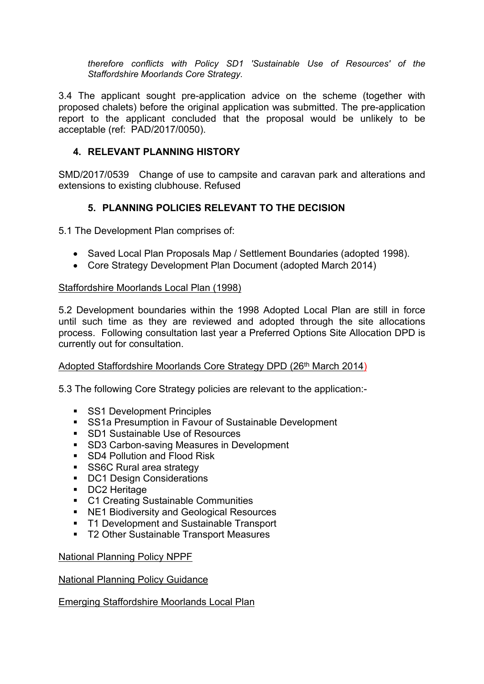*therefore conflicts with Policy SD1 'Sustainable Use of Resources' of the Staffordshire Moorlands Core Strategy.*

3.4 The applicant sought pre-application advice on the scheme (together with proposed chalets) before the original application was submitted. The pre-application report to the applicant concluded that the proposal would be unlikely to be acceptable (ref: PAD/2017/0050).

# **4. RELEVANT PLANNING HISTORY**

SMD/2017/0539Change of use to campsite and caravan park and alterations and extensions to existing clubhouse. Refused

# **5. PLANNING POLICIES RELEVANT TO THE DECISION**

5.1 The Development Plan comprises of:

- Saved Local Plan Proposals Map / Settlement Boundaries (adopted 1998).
- Core Strategy Development Plan Document (adopted March 2014)

#### Staffordshire Moorlands Local Plan (1998)

5.2 Development boundaries within the 1998 Adopted Local Plan are still in force until such time as they are reviewed and adopted through the site allocations process. Following consultation last year a Preferred Options Site Allocation DPD is currently out for consultation.

## Adopted Staffordshire Moorlands Core Strategy DPD (26th March 2014)

5.3 The following Core Strategy policies are relevant to the application:-

- **SS1 Development Principles**
- **SS1a Presumption in Favour of Sustainable Development**
- SD1 Sustainable Use of Resources
- **SD3 Carbon-saving Measures in Development**
- **SD4 Pollution and Flood Risk**
- SS6C Rural area strategy
- DC1 Design Considerations
- DC2 Heritage
- **C1 Creating Sustainable Communities**
- **NE1 Biodiversity and Geological Resources**
- T1 Development and Sustainable Transport
- T2 Other Sustainable Transport Measures

#### National Planning Policy NPPF

#### National Planning Policy Guidance

Emerging Staffordshire Moorlands Local Plan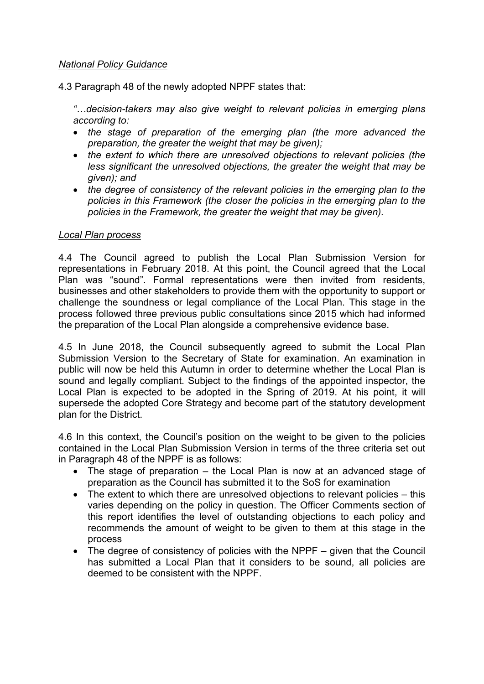## *National Policy Guidance*

4.3 Paragraph 48 of the newly adopted NPPF states that:

*"…decision-takers may also give weight to relevant policies in emerging plans according to:*

- *the stage of preparation of the emerging plan (the more advanced the preparation, the greater the weight that may be given);*
- *the extent to which there are unresolved objections to relevant policies (the less significant the unresolved objections, the greater the weight that may be given); and*
- *the degree of consistency of the relevant policies in the emerging plan to the policies in this Framework (the closer the policies in the emerging plan to the policies in the Framework, the greater the weight that may be given).*

## *Local Plan process*

4.4 The Council agreed to publish the Local Plan Submission Version for representations in February 2018. At this point, the Council agreed that the Local Plan was "sound". Formal representations were then invited from residents, businesses and other stakeholders to provide them with the opportunity to support or challenge the soundness or legal compliance of the Local Plan. This stage in the process followed three previous public consultations since 2015 which had informed the preparation of the Local Plan alongside a comprehensive evidence base.

4.5 In June 2018, the Council subsequently agreed to submit the Local Plan Submission Version to the Secretary of State for examination. An examination in public will now be held this Autumn in order to determine whether the Local Plan is sound and legally compliant. Subject to the findings of the appointed inspector, the Local Plan is expected to be adopted in the Spring of 2019. At his point, it will supersede the adopted Core Strategy and become part of the statutory development plan for the District.

4.6 In this context, the Council's position on the weight to be given to the policies contained in the Local Plan Submission Version in terms of the three criteria set out in Paragraph 48 of the NPPF is as follows:

- The stage of preparation the Local Plan is now at an advanced stage of preparation as the Council has submitted it to the SoS for examination
- The extent to which there are unresolved objections to relevant policies this varies depending on the policy in question. The Officer Comments section of this report identifies the level of outstanding objections to each policy and recommends the amount of weight to be given to them at this stage in the process
- The degree of consistency of policies with the NPPF given that the Council has submitted a Local Plan that it considers to be sound, all policies are deemed to be consistent with the NPPF.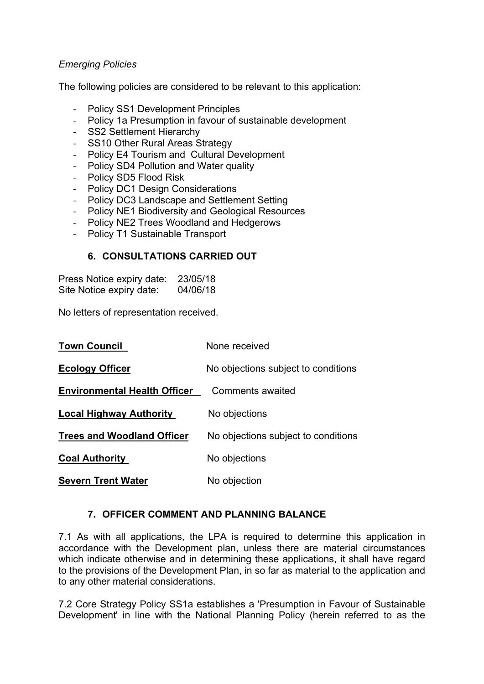## *Emerging Policies*

The following policies are considered to be relevant to this application:

- Policy SS1 Development Principles
- Policy 1a Presumption in favour of sustainable development
- SS2 Settlement Hierarchy
- SS10 Other Rural Areas Strategy
- Policy E4 Tourism and Cultural Development
- Policy SD4 Pollution and Water quality
- Policy SD5 Flood Risk
- Policy DC1 Design Considerations
- Policy DC3 Landscape and Settlement Setting
- Policy NE1 Biodiversity and Geological Resources
- Policy NE2 Trees Woodland and Hedgerows
- Policy T1 Sustainable Transport

## **6. CONSULTATIONS CARRIED OUT**

Press Notice expiry date: 23/05/18 Site Notice expiry date: 04/06/18

No letters of representation received.

| <b>Town Council</b>                 | None received                       |
|-------------------------------------|-------------------------------------|
| <b>Ecology Officer</b>              | No objections subject to conditions |
| <b>Environmental Health Officer</b> | Comments awaited                    |
| <b>Local Highway Authority</b>      | No objections                       |
| <b>Trees and Woodland Officer</b>   | No objections subject to conditions |
| <b>Coal Authority</b>               | No objections                       |
| <b>Severn Trent Water</b>           | No objection                        |

## **7. OFFICER COMMENT AND PLANNING BALANCE**

7.1 As with all applications, the LPA is required to determine this application in accordance with the Development plan, unless there are material circumstances which indicate otherwise and in determining these applications, it shall have regard to the provisions of the Development Plan, in so far as material to the application and to any other material considerations.

7.2 Core Strategy Policy SS1a establishes a 'Presumption in Favour of Sustainable Development' in line with the National Planning Policy (herein referred to as the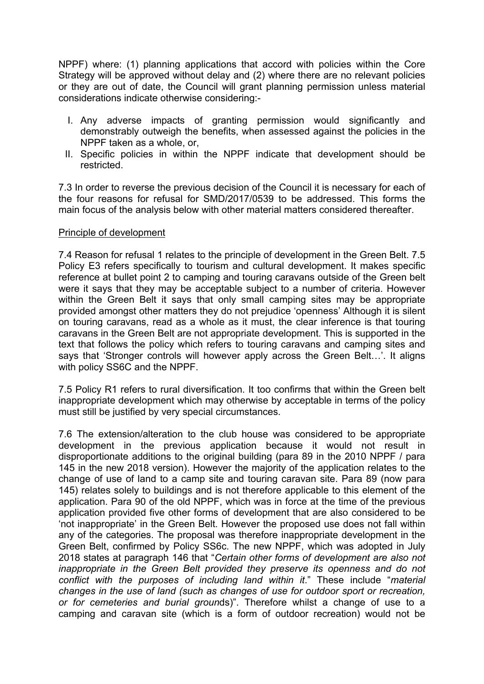NPPF) where: (1) planning applications that accord with policies within the Core Strategy will be approved without delay and (2) where there are no relevant policies or they are out of date, the Council will grant planning permission unless material considerations indicate otherwise considering:-

- I. Any adverse impacts of granting permission would significantly and demonstrably outweigh the benefits, when assessed against the policies in the NPPF taken as a whole, or,
- II. Specific policies in within the NPPF indicate that development should be restricted.

7.3 In order to reverse the previous decision of the Council it is necessary for each of the four reasons for refusal for SMD/2017/0539 to be addressed. This forms the main focus of the analysis below with other material matters considered thereafter.

#### Principle of development

7.4 Reason for refusal 1 relates to the principle of development in the Green Belt. 7.5 Policy E3 refers specifically to tourism and cultural development. It makes specific reference at bullet point 2 to camping and touring caravans outside of the Green belt were it says that they may be acceptable subject to a number of criteria. However within the Green Belt it says that only small camping sites may be appropriate provided amongst other matters they do not prejudice 'openness' Although it is silent on touring caravans, read as a whole as it must, the clear inference is that touring caravans in the Green Belt are not appropriate development. This is supported in the text that follows the policy which refers to touring caravans and camping sites and says that 'Stronger controls will however apply across the Green Belt…'. It aligns with policy SS6C and the NPPF.

7.5 Policy R1 refers to rural diversification. It too confirms that within the Green belt inappropriate development which may otherwise by acceptable in terms of the policy must still be justified by very special circumstances.

7.6 The extension/alteration to the club house was considered to be appropriate development in the previous application because it would not result in disproportionate additions to the original building (para 89 in the 2010 NPPF / para 145 in the new 2018 version). However the majority of the application relates to the change of use of land to a camp site and touring caravan site. Para 89 (now para 145) relates solely to buildings and is not therefore applicable to this element of the application. Para 90 of the old NPPF, which was in force at the time of the previous application provided five other forms of development that are also considered to be 'not inappropriate' in the Green Belt. However the proposed use does not fall within any of the categories. The proposal was therefore inappropriate development in the Green Belt, confirmed by Policy SS6c. The new NPPF, which was adopted in July 2018 states at paragraph 146 that "*Certain other forms of development are also not inappropriate in the Green Belt provided they preserve its openness and do not conflict with the purposes of including land within it*." These include "*material changes in the use of land (such as changes of use for outdoor sport or recreation, or for cemeteries and burial groun*ds)". Therefore whilst a change of use to a camping and caravan site (which is a form of outdoor recreation) would not be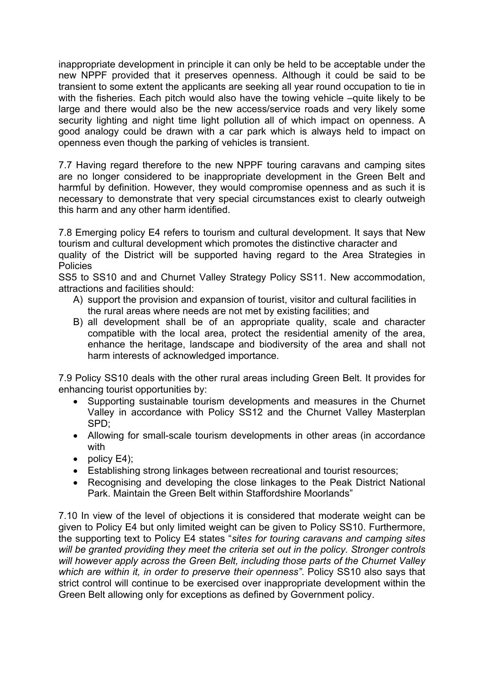inappropriate development in principle it can only be held to be acceptable under the new NPPF provided that it preserves openness. Although it could be said to be transient to some extent the applicants are seeking all year round occupation to tie in with the fisheries. Each pitch would also have the towing vehicle –quite likely to be large and there would also be the new access/service roads and very likely some security lighting and night time light pollution all of which impact on openness. A good analogy could be drawn with a car park which is always held to impact on openness even though the parking of vehicles is transient.

7.7 Having regard therefore to the new NPPF touring caravans and camping sites are no longer considered to be inappropriate development in the Green Belt and harmful by definition. However, they would compromise openness and as such it is necessary to demonstrate that very special circumstances exist to clearly outweigh this harm and any other harm identified.

7.8 Emerging policy E4 refers to tourism and cultural development. It says that New tourism and cultural development which promotes the distinctive character and quality of the District will be supported having regard to the Area Strategies in **Policies** 

SS5 to SS10 and and Churnet Valley Strategy Policy SS11. New accommodation, attractions and facilities should:

- A) support the provision and expansion of tourist, visitor and cultural facilities in the rural areas where needs are not met by existing facilities; and
- B) all development shall be of an appropriate quality, scale and character compatible with the local area, protect the residential amenity of the area, enhance the heritage, landscape and biodiversity of the area and shall not harm interests of acknowledged importance.

7.9 Policy SS10 deals with the other rural areas including Green Belt. It provides for enhancing tourist opportunities by:

- Supporting sustainable tourism developments and measures in the Churnet Valley in accordance with Policy SS12 and the Churnet Valley Masterplan SPD;
- Allowing for small-scale tourism developments in other areas (in accordance with
- $\bullet$  policy E4);
- Establishing strong linkages between recreational and tourist resources;
- Recognising and developing the close linkages to the Peak District National Park. Maintain the Green Belt within Staffordshire Moorlands"

7.10 In view of the level of objections it is considered that moderate weight can be given to Policy E4 but only limited weight can be given to Policy SS10. Furthermore, the supporting text to Policy E4 states "*sites for touring caravans and camping sites will be granted providing they meet the criteria set out in the policy. Stronger controls will however apply across the Green Belt, including those parts of the Churnet Valley which are within it, in order to preserve their openness"*. Policy SS10 also says that strict control will continue to be exercised over inappropriate development within the Green Belt allowing only for exceptions as defined by Government policy.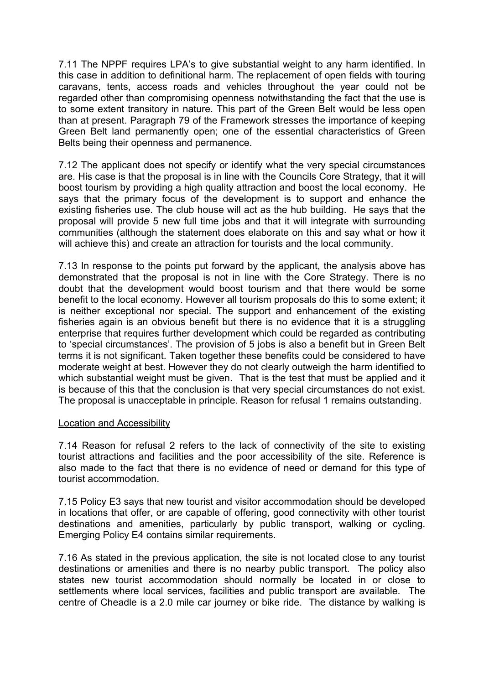7.11 The NPPF requires LPA's to give substantial weight to any harm identified. In this case in addition to definitional harm. The replacement of open fields with touring caravans, tents, access roads and vehicles throughout the year could not be regarded other than compromising openness notwithstanding the fact that the use is to some extent transitory in nature. This part of the Green Belt would be less open than at present. Paragraph 79 of the Framework stresses the importance of keeping Green Belt land permanently open; one of the essential characteristics of Green Belts being their openness and permanence.

7.12 The applicant does not specify or identify what the very special circumstances are. His case is that the proposal is in line with the Councils Core Strategy, that it will boost tourism by providing a high quality attraction and boost the local economy. He says that the primary focus of the development is to support and enhance the existing fisheries use. The club house will act as the hub building. He says that the proposal will provide 5 new full time jobs and that it will integrate with surrounding communities (although the statement does elaborate on this and say what or how it will achieve this) and create an attraction for tourists and the local community.

7.13 In response to the points put forward by the applicant, the analysis above has demonstrated that the proposal is not in line with the Core Strategy. There is no doubt that the development would boost tourism and that there would be some benefit to the local economy. However all tourism proposals do this to some extent; it is neither exceptional nor special. The support and enhancement of the existing fisheries again is an obvious benefit but there is no evidence that it is a struggling enterprise that requires further development which could be regarded as contributing to 'special circumstances'. The provision of 5 jobs is also a benefit but in Green Belt terms it is not significant. Taken together these benefits could be considered to have moderate weight at best. However they do not clearly outweigh the harm identified to which substantial weight must be given. That is the test that must be applied and it is because of this that the conclusion is that very special circumstances do not exist. The proposal is unacceptable in principle. Reason for refusal 1 remains outstanding.

## Location and Accessibility

7.14 Reason for refusal 2 refers to the lack of connectivity of the site to existing tourist attractions and facilities and the poor accessibility of the site. Reference is also made to the fact that there is no evidence of need or demand for this type of tourist accommodation.

7.15 Policy E3 says that new tourist and visitor accommodation should be developed in locations that offer, or are capable of offering, good connectivity with other tourist destinations and amenities, particularly by public transport, walking or cycling. Emerging Policy E4 contains similar requirements.

7.16 As stated in the previous application, the site is not located close to any tourist destinations or amenities and there is no nearby public transport. The policy also states new tourist accommodation should normally be located in or close to settlements where local services, facilities and public transport are available. The centre of Cheadle is a 2.0 mile car journey or bike ride. The distance by walking is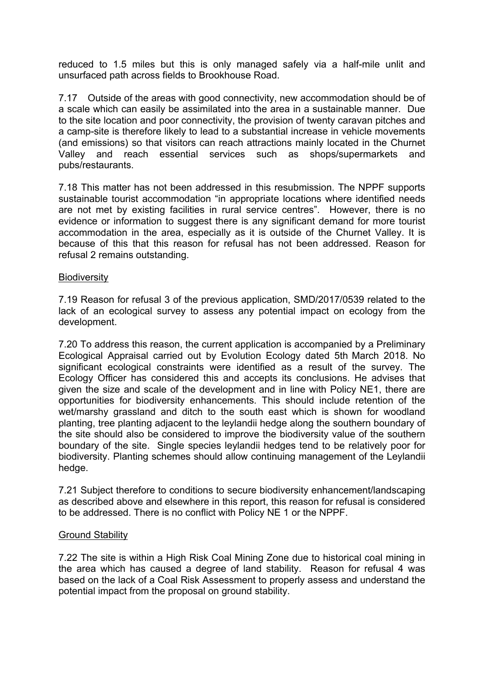reduced to 1.5 miles but this is only managed safely via a half-mile unlit and unsurfaced path across fields to Brookhouse Road.

7.17 Outside of the areas with good connectivity, new accommodation should be of a scale which can easily be assimilated into the area in a sustainable manner. Due to the site location and poor connectivity, the provision of twenty caravan pitches and a camp-site is therefore likely to lead to a substantial increase in vehicle movements (and emissions) so that visitors can reach attractions mainly located in the Churnet Valley and reach essential services such as shops/supermarkets and pubs/restaurants.

7.18 This matter has not been addressed in this resubmission. The NPPF supports sustainable tourist accommodation "in appropriate locations where identified needs are not met by existing facilities in rural service centres". However, there is no evidence or information to suggest there is any significant demand for more tourist accommodation in the area, especially as it is outside of the Churnet Valley. It is because of this that this reason for refusal has not been addressed. Reason for refusal 2 remains outstanding.

#### **Biodiversity**

7.19 Reason for refusal 3 of the previous application, SMD/2017/0539 related to the lack of an ecological survey to assess any potential impact on ecology from the development.

7.20 To address this reason, the current application is accompanied by a Preliminary Ecological Appraisal carried out by Evolution Ecology dated 5th March 2018. No significant ecological constraints were identified as a result of the survey. The Ecology Officer has considered this and accepts its conclusions. He advises that given the size and scale of the development and in line with Policy NE1, there are opportunities for biodiversity enhancements. This should include retention of the wet/marshy grassland and ditch to the south east which is shown for woodland planting, tree planting adjacent to the leylandii hedge along the southern boundary of the site should also be considered to improve the biodiversity value of the southern boundary of the site. Single species leylandii hedges tend to be relatively poor for biodiversity. Planting schemes should allow continuing management of the Leylandii hedge.

7.21 Subject therefore to conditions to secure biodiversity enhancement/landscaping as described above and elsewhere in this report, this reason for refusal is considered to be addressed. There is no conflict with Policy NE 1 or the NPPF.

#### Ground Stability

7.22 The site is within a High Risk Coal Mining Zone due to historical coal mining in the area which has caused a degree of land stability. Reason for refusal 4 was based on the lack of a Coal Risk Assessment to properly assess and understand the potential impact from the proposal on ground stability.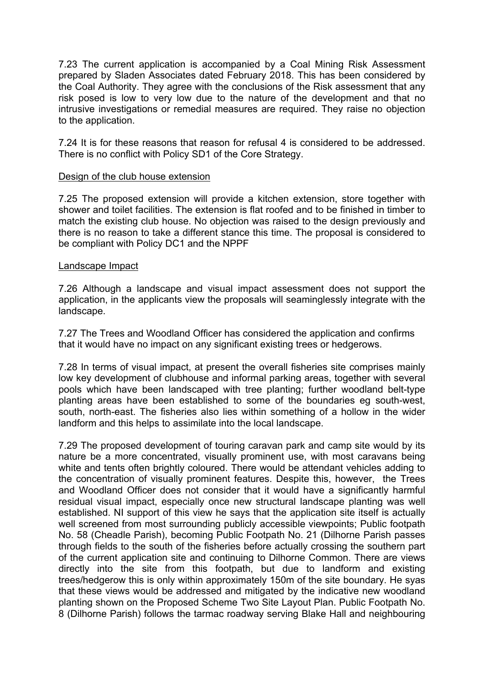7.23 The current application is accompanied by a Coal Mining Risk Assessment prepared by Sladen Associates dated February 2018. This has been considered by the Coal Authority. They agree with the conclusions of the Risk assessment that any risk posed is low to very low due to the nature of the development and that no intrusive investigations or remedial measures are required. They raise no objection to the application.

7.24 It is for these reasons that reason for refusal 4 is considered to be addressed. There is no conflict with Policy SD1 of the Core Strategy.

#### Design of the club house extension

7.25 The proposed extension will provide a kitchen extension, store together with shower and toilet facilities. The extension is flat roofed and to be finished in timber to match the existing club house. No objection was raised to the design previously and there is no reason to take a different stance this time. The proposal is considered to be compliant with Policy DC1 and the NPPF

#### Landscape Impact

7.26 Although a landscape and visual impact assessment does not support the application, in the applicants view the proposals will seaminglessly integrate with the landscape.

7.27 The Trees and Woodland Officer has considered the application and confirms that it would have no impact on any significant existing trees or hedgerows.

7.28 In terms of visual impact, at present the overall fisheries site comprises mainly low key development of clubhouse and informal parking areas, together with several pools which have been landscaped with tree planting; further woodland belt-type planting areas have been established to some of the boundaries eg south-west, south, north-east. The fisheries also lies within something of a hollow in the wider landform and this helps to assimilate into the local landscape.

7.29 The proposed development of touring caravan park and camp site would by its nature be a more concentrated, visually prominent use, with most caravans being white and tents often brightly coloured. There would be attendant vehicles adding to the concentration of visually prominent features. Despite this, however, the Trees and Woodland Officer does not consider that it would have a significantly harmful residual visual impact, especially once new structural landscape planting was well established. NI support of this view he says that the application site itself is actually well screened from most surrounding publicly accessible viewpoints; Public footpath No. 58 (Cheadle Parish), becoming Public Footpath No. 21 (Dilhorne Parish passes through fields to the south of the fisheries before actually crossing the southern part of the current application site and continuing to Dilhorne Common. There are views directly into the site from this footpath, but due to landform and existing trees/hedgerow this is only within approximately 150m of the site boundary. He syas that these views would be addressed and mitigated by the indicative new woodland planting shown on the Proposed Scheme Two Site Layout Plan. Public Footpath No. 8 (Dilhorne Parish) follows the tarmac roadway serving Blake Hall and neighbouring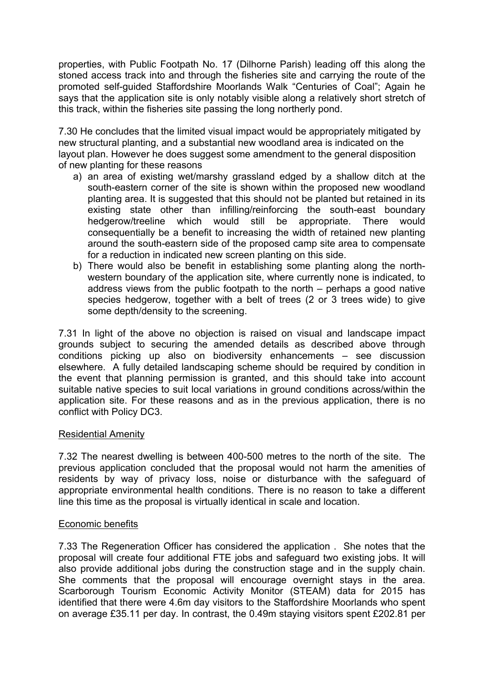properties, with Public Footpath No. 17 (Dilhorne Parish) leading off this along the stoned access track into and through the fisheries site and carrying the route of the promoted self-guided Staffordshire Moorlands Walk "Centuries of Coal"; Again he says that the application site is only notably visible along a relatively short stretch of this track, within the fisheries site passing the long northerly pond.

7.30 He concludes that the limited visual impact would be appropriately mitigated by new structural planting, and a substantial new woodland area is indicated on the layout plan. However he does suggest some amendment to the general disposition of new planting for these reasons

- a) an area of existing wet/marshy grassland edged by a shallow ditch at the south-eastern corner of the site is shown within the proposed new woodland planting area. It is suggested that this should not be planted but retained in its existing state other than infilling/reinforcing the south-east boundary hedgerow/treeline which would still be appropriate. There would consequentially be a benefit to increasing the width of retained new planting around the south-eastern side of the proposed camp site area to compensate for a reduction in indicated new screen planting on this side.
- b) There would also be benefit in establishing some planting along the northwestern boundary of the application site, where currently none is indicated, to address views from the public footpath to the north – perhaps a good native species hedgerow, together with a belt of trees (2 or 3 trees wide) to give some depth/density to the screening.

7.31 In light of the above no objection is raised on visual and landscape impact grounds subject to securing the amended details as described above through conditions picking up also on biodiversity enhancements – see discussion elsewhere. A fully detailed landscaping scheme should be required by condition in the event that planning permission is granted, and this should take into account suitable native species to suit local variations in ground conditions across/within the application site. For these reasons and as in the previous application, there is no conflict with Policy DC3.

## Residential Amenity

7.32 The nearest dwelling is between 400-500 metres to the north of the site. The previous application concluded that the proposal would not harm the amenities of residents by way of privacy loss, noise or disturbance with the safeguard of appropriate environmental health conditions. There is no reason to take a different line this time as the proposal is virtually identical in scale and location.

## Economic benefits

7.33 The Regeneration Officer has considered the application . She notes that the proposal will create four additional FTE jobs and safeguard two existing jobs. It will also provide additional jobs during the construction stage and in the supply chain. She comments that the proposal will encourage overnight stays in the area. Scarborough Tourism Economic Activity Monitor (STEAM) data for 2015 has identified that there were 4.6m day visitors to the Staffordshire Moorlands who spent on average £35.11 per day. In contrast, the 0.49m staying visitors spent £202.81 per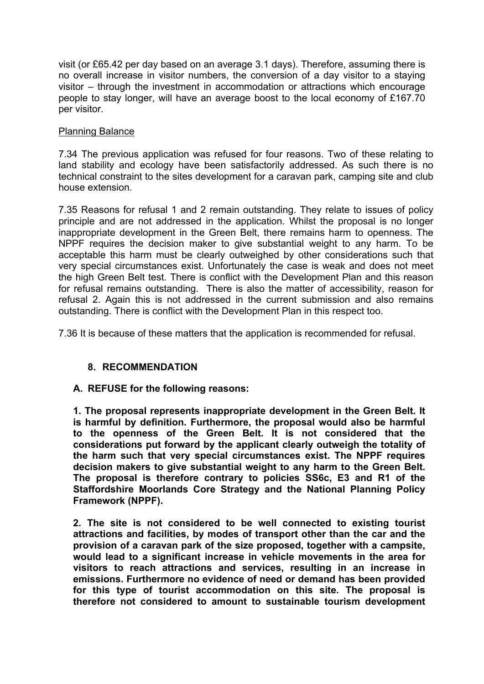visit (or £65.42 per day based on an average 3.1 days). Therefore, assuming there is no overall increase in visitor numbers, the conversion of a day visitor to a staying visitor – through the investment in accommodation or attractions which encourage people to stay longer, will have an average boost to the local economy of £167.70 per visitor.

# Planning Balance

7.34 The previous application was refused for four reasons. Two of these relating to land stability and ecology have been satisfactorily addressed. As such there is no technical constraint to the sites development for a caravan park, camping site and club house extension.

7.35 Reasons for refusal 1 and 2 remain outstanding. They relate to issues of policy principle and are not addressed in the application. Whilst the proposal is no longer inappropriate development in the Green Belt, there remains harm to openness. The NPPF requires the decision maker to give substantial weight to any harm. To be acceptable this harm must be clearly outweighed by other considerations such that very special circumstances exist. Unfortunately the case is weak and does not meet the high Green Belt test. There is conflict with the Development Plan and this reason for refusal remains outstanding. There is also the matter of accessibility, reason for refusal 2. Again this is not addressed in the current submission and also remains outstanding. There is conflict with the Development Plan in this respect too.

7.36 It is because of these matters that the application is recommended for refusal.

# **8. RECOMMENDATION**

## **A. REFUSE for the following reasons:**

**1. The proposal represents inappropriate development in the Green Belt. It is harmful by definition. Furthermore, the proposal would also be harmful to the openness of the Green Belt. It is not considered that the considerations put forward by the applicant clearly outweigh the totality of the harm such that very special circumstances exist. The NPPF requires decision makers to give substantial weight to any harm to the Green Belt. The proposal is therefore contrary to policies SS6c, E3 and R1 of the Staffordshire Moorlands Core Strategy and the National Planning Policy Framework (NPPF).**

**2. The site is not considered to be well connected to existing tourist attractions and facilities, by modes of transport other than the car and the provision of a caravan park of the size proposed, together with a campsite, would lead to a significant increase in vehicle movements in the area for visitors to reach attractions and services, resulting in an increase in emissions. Furthermore no evidence of need or demand has been provided for this type of tourist accommodation on this site. The proposal is therefore not considered to amount to sustainable tourism development**